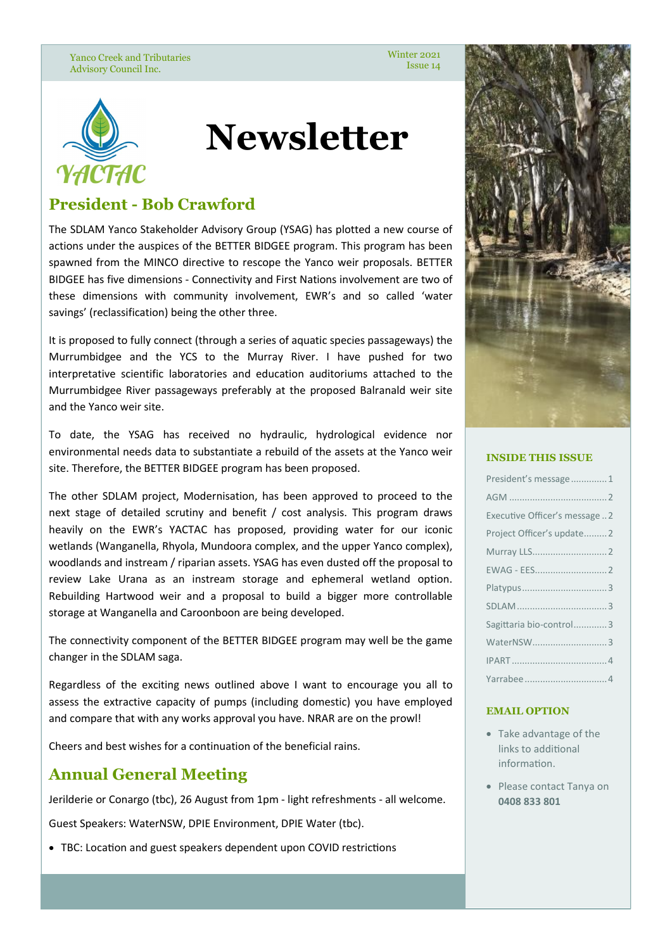Yanco Creek and Tributaries Advisory Council Inc.

Winter 2021 Issue 14



# **Newsletter**

# **President - Bob Crawford**

The SDLAM Yanco Stakeholder Advisory Group (YSAG) has plotted a new course of actions under the auspices of the BETTER BIDGEE program. This program has been spawned from the MINCO directive to rescope the Yanco weir proposals. BETTER BIDGEE has five dimensions - Connectivity and First Nations involvement are two of these dimensions with community involvement, EWR's and so called 'water savings' (reclassification) being the other three.

It is proposed to fully connect (through a series of aquatic species passageways) the Murrumbidgee and the YCS to the Murray River. I have pushed for two interpretative scientific laboratories and education auditoriums attached to the Murrumbidgee River passageways preferably at the proposed Balranald weir site and the Yanco weir site.

To date, the YSAG has received no hydraulic, hydrological evidence nor environmental needs data to substantiate a rebuild of the assets at the Yanco weir site. Therefore, the BETTER BIDGEE program has been proposed.

The other SDLAM project, Modernisation, has been approved to proceed to the next stage of detailed scrutiny and benefit / cost analysis. This program draws heavily on the EWR's YACTAC has proposed, providing water for our iconic wetlands (Wanganella, Rhyola, Mundoora complex, and the upper Yanco complex), woodlands and instream / riparian assets. YSAG has even dusted off the proposal to review Lake Urana as an instream storage and ephemeral wetland option. Rebuilding Hartwood weir and a proposal to build a bigger more controllable storage at Wanganella and Caroonboon are being developed.

The connectivity component of the BETTER BIDGEE program may well be the game changer in the SDLAM saga.

Regardless of the exciting news outlined above I want to encourage you all to assess the extractive capacity of pumps (including domestic) you have employed and compare that with any works approval you have. NRAR are on the prowl!

Cheers and best wishes for a continuation of the beneficial rains.

# **Annual General Meeting**

Jerilderie or Conargo (tbc), 26 August from 1pm - light refreshments - all welcome.

Guest Speakers: WaterNSW, DPIE Environment, DPIE Water (tbc).

• TBC: Location and guest speakers dependent upon COVID restrictions



#### **INSIDE THIS ISSUE**

| President's message 1          |
|--------------------------------|
|                                |
| Executive Officer's message  2 |
| Project Officer's update2      |
|                                |
|                                |
|                                |
|                                |
| Sagittaria bio-control3        |
|                                |
|                                |
|                                |

#### **EMAIL OPTION**

- Take advantage of the links to additional information.
- Please contact Tanya on **0408 833 801**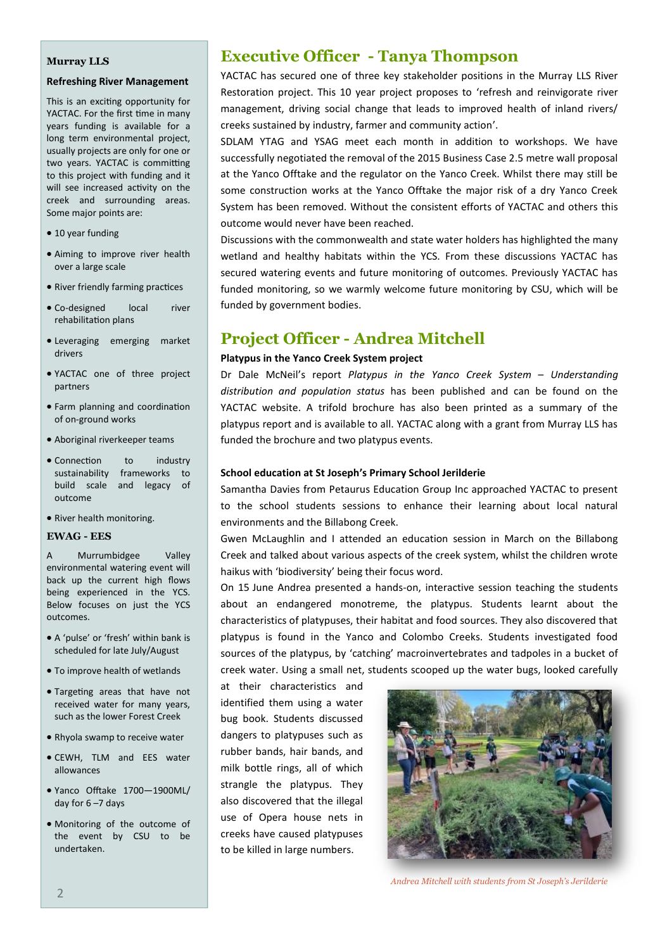#### **Murray LLS**

#### **Refreshing River Management**

This is an exciting opportunity for YACTAC. For the first time in many years funding is available for a long term environmental project, usually projects are only for one or two years. YACTAC is committing to this project with funding and it will see increased activity on the creek and surrounding areas. Some major points are:

- 10 year funding
- Aiming to improve river health over a large scale
- River friendly farming practices
- Co-designed local river rehabilitation plans
- Leveraging emerging market drivers
- YACTAC one of three project partners
- Farm planning and coordination of on-ground works
- Aboriginal riverkeeper teams
- Connection to industry sustainability frameworks to build scale and legacy of outcome
- River health monitoring.

#### **EWAG - EES**

A Murrumbidgee Valley environmental watering event will back up the current high flows being experienced in the YCS. Below focuses on just the YCS outcomes.

- A 'pulse' or 'fresh' within bank is scheduled for late July/August
- To improve health of wetlands
- Targeting areas that have not received water for many years, such as the lower Forest Creek
- Rhyola swamp to receive water
- CEWH, TLM and EES water allowances
- Yanco Offtake 1700—1900ML/ day for  $6 - 7$  days
- Monitoring of the outcome of the event by CSU to be undertaken.

## **Executive Officer - Tanya Thompson**

YACTAC has secured one of three key stakeholder positions in the Murray LLS River Restoration project. This 10 year project proposes to 'refresh and reinvigorate river management, driving social change that leads to improved health of inland rivers/ creeks sustained by industry, farmer and community action'.

SDLAM YTAG and YSAG meet each month in addition to workshops. We have successfully negotiated the removal of the 2015 Business Case 2.5 metre wall proposal at the Yanco Offtake and the regulator on the Yanco Creek. Whilst there may still be some construction works at the Yanco Offtake the major risk of a dry Yanco Creek System has been removed. Without the consistent efforts of YACTAC and others this outcome would never have been reached.

Discussions with the commonwealth and state water holders has highlighted the many wetland and healthy habitats within the YCS. From these discussions YACTAC has secured watering events and future monitoring of outcomes. Previously YACTAC has funded monitoring, so we warmly welcome future monitoring by CSU, which will be funded by government bodies.

### **Project Officer - Andrea Mitchell**

#### **Platypus in the Yanco Creek System project**

Dr Dale McNeil's report *Platypus in the Yanco Creek System – Understanding distribution and population status* has been published and can be found on the YACTAC website. A trifold brochure has also been printed as a summary of the platypus report and is available to all. YACTAC along with a grant from Murray LLS has funded the brochure and two platypus events.

#### **School education at St Joseph's Primary School Jerilderie**

Samantha Davies from Petaurus Education Group Inc approached YACTAC to present to the school students sessions to enhance their learning about local natural environments and the Billabong Creek.

Gwen McLaughlin and I attended an education session in March on the Billabong Creek and talked about various aspects of the creek system, whilst the children wrote haikus with 'biodiversity' being their focus word.

On 15 June Andrea presented a hands-on, interactive session teaching the students about an endangered monotreme, the platypus. Students learnt about the characteristics of platypuses, their habitat and food sources. They also discovered that platypus is found in the Yanco and Colombo Creeks. Students investigated food sources of the platypus, by 'catching' macroinvertebrates and tadpoles in a bucket of creek water. Using a small net, students scooped up the water bugs, looked carefully

at their characteristics and identified them using a water bug book. Students discussed dangers to platypuses such as rubber bands, hair bands, and milk bottle rings, all of which strangle the platypus. They also discovered that the illegal use of Opera house nets in creeks have caused platypuses to be killed in large numbers.



*Andrea Mitchell with students from St Joseph's Jerilderie*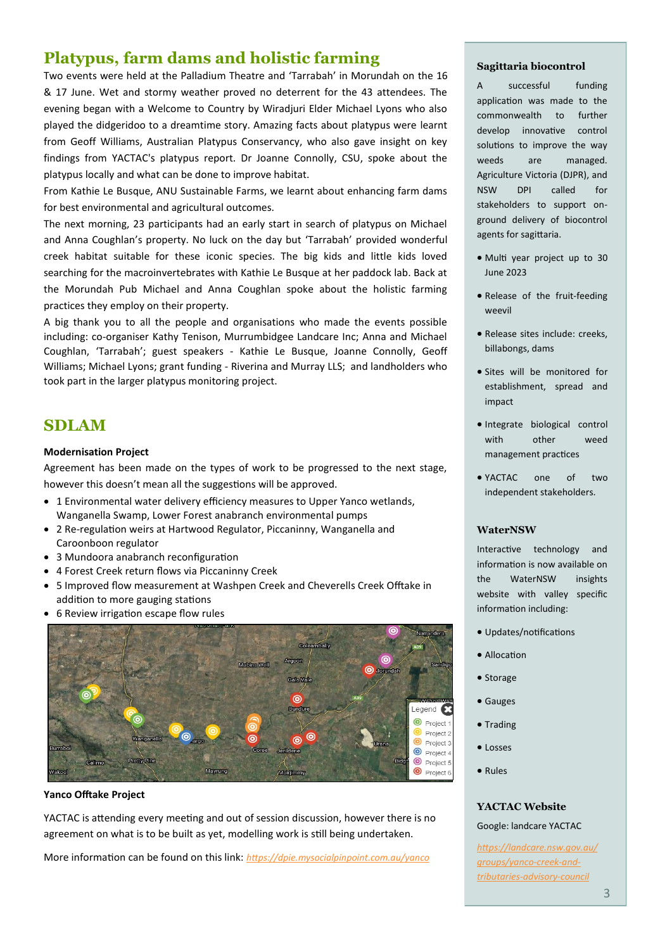# **Platypus, farm dams and holistic farming**

Two events were held at the Palladium Theatre and 'Tarrabah' in Morundah on the 16 & 17 June. Wet and stormy weather proved no deterrent for the 43 attendees. The evening began with a Welcome to Country by Wiradjuri Elder Michael Lyons who also played the didgeridoo to a dreamtime story. Amazing facts about platypus were learnt from Geoff Williams, Australian Platypus Conservancy, who also gave insight on key findings from YACTAC's platypus report. Dr Joanne Connolly, CSU, spoke about the platypus locally and what can be done to improve habitat.

From Kathie Le Busque, ANU Sustainable Farms, we learnt about enhancing farm dams for best environmental and agricultural outcomes.

The next morning, 23 participants had an early start in search of platypus on Michael and Anna Coughlan's property. No luck on the day but 'Tarrabah' provided wonderful creek habitat suitable for these iconic species. The big kids and little kids loved searching for the macroinvertebrates with Kathie Le Busque at her paddock lab. Back at the Morundah Pub Michael and Anna Coughlan spoke about the holistic farming practices they employ on their property.

A big thank you to all the people and organisations who made the events possible including: co-organiser Kathy Tenison, Murrumbidgee Landcare Inc; Anna and Michael Coughlan, 'Tarrabah'; guest speakers - Kathie Le Busque, Joanne Connolly, Geoff Williams; Michael Lyons; grant funding - Riverina and Murray LLS; and landholders who took part in the larger platypus monitoring project.

# **SDLAM**

#### **Modernisation Project**

Agreement has been made on the types of work to be progressed to the next stage, however this doesn't mean all the suggestions will be approved.

- 1 Environmental water delivery efficiency measures to Upper Yanco wetlands, Wanganella Swamp, Lower Forest anabranch environmental pumps
- 2 Re-regulation weirs at Hartwood Regulator, Piccaninny, Wanganella and Caroonboon regulator
- 3 Mundoora anabranch reconfiguration
- 4 Forest Creek return flows via Piccaninny Creek
- 5 Improved flow measurement at Washpen Creek and Cheverells Creek Offtake in addition to more gauging stations
- 6 Review irrigation escape flow rules



#### **Yanco Offtake Project**

YACTAC is attending every meeting and out of session discussion, however there is no agreement on what is to be built as yet, modelling work is still being undertaken.

More information can be found on this link: *https://dpie.mysocialpinpoint.com.au/yanco*

#### **Sagittaria biocontrol**

A successful funding application was made to the commonwealth to further develop innovative control solutions to improve the way weeds are managed. Agriculture Victoria (DJPR), and NSW DPI called for stakeholders to support onground delivery of biocontrol agents for sagittaria.

- Multi year project up to 30 June 2023
- Release of the fruit-feeding weevil
- Release sites include: creeks, billabongs, dams
- Sites will be monitored for establishment, spread and impact
- Integrate biological control with other weed management practices
- YACTAC one of two independent stakeholders.

#### **WaterNSW**

Interactive technology and information is now available on the WaterNSW insights website with valley specific information including:

- Updates/notifications
- Allocation
- Storage
- Gauges
- Trading
- Losses
- Rules

#### **YACTAC Website**

#### Google: landcare YACTAC

*[https://landcare.nsw.gov.au/](https://landcare.nsw.gov.au/groups/yanco-creek-and-tributaries-advisory-council/) [groups/yanco](https://landcare.nsw.gov.au/groups/yanco-creek-and-tributaries-advisory-council/)-creek-and[tributaries](https://landcare.nsw.gov.au/groups/yanco-creek-and-tributaries-advisory-council/)-advisory-council*